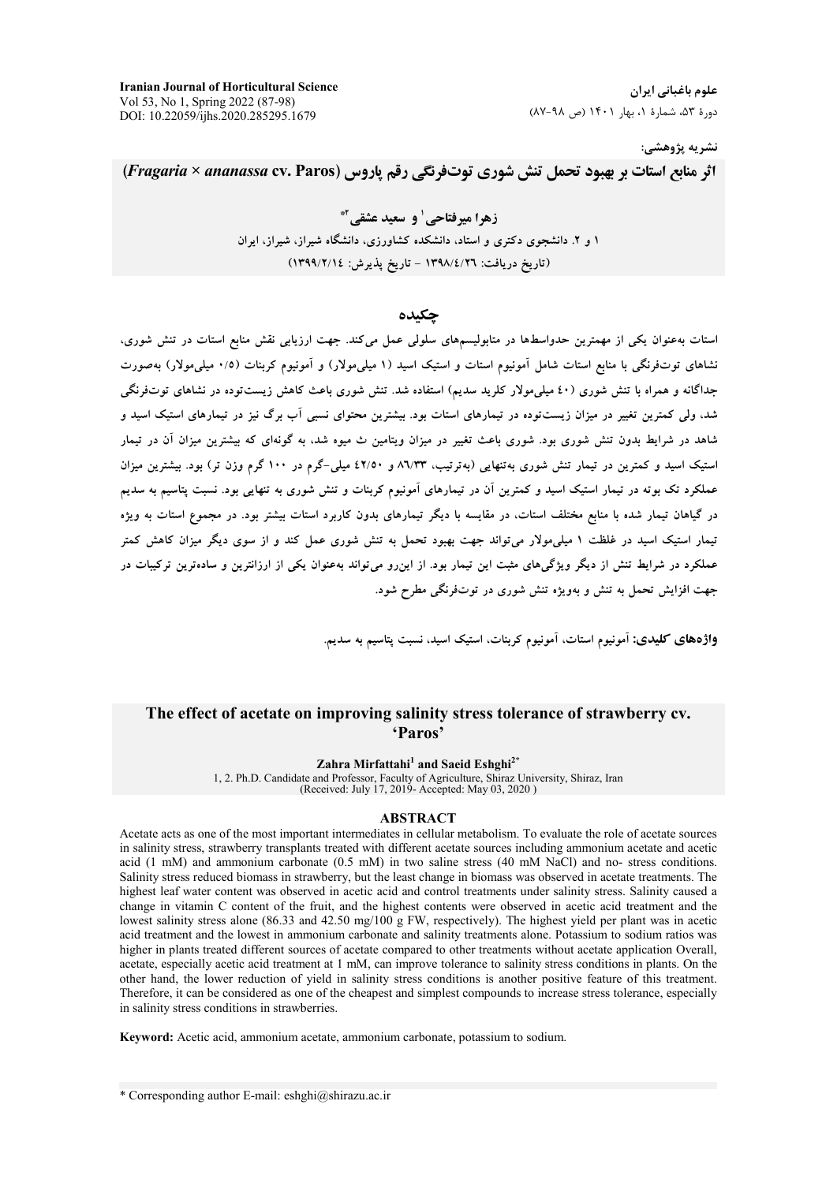**Iranian Journal of Horticultural Science** Vol 53, No 1, Spring 2022 (87-98) DOI: 10.22059/ijhs.2020.285295.1679

## نشريه پژوهشي:

اثر منابع استات بر بهبود تحمل تنش شوری توتفرنگی رقم یاروس (Fragaria × ananassa cv. Paros)

زهرا میرفتاحی' و سعید عشقی آ\* ۱ و ۲. دانشجوی دکتری و استاد، دانشکده کشاورزی، دانشگاه شیراز، شیراز، ایران (تاريخ دريافت: ١٣٩٨/٤/٢٦ - تاريخ پذيرش: ١٣٩٩/٢/١٤)

#### حكىدە

استات بهعنوان یکی از مهمترین حدواسطها در متابولیسمهای سلولی عمل میکند. جهت ارزیابی نقش منابع استات در تنش شوری، نشاهای توتفرنگی با منابع استات شامل آمونیوم استات و استیک اسید (۱ میلی مولار) و آمونیوم کربنات (۰/۵ میلی مولار) بهصورت جداگانه و همراه با تنش شوری (٤٠ میلیمولار کلرید سدیم) استفاده شد. تنش شوری باعث کاهش زیستتوده در نشاهای توتفرنگی شد، ولی کمترین تغییر در میزان زیستتوده در تیمارهای استات بود. بیشترین محتوای نسبی آب برگ نیز در تیمارهای استبک اسید و شاهد در شرایط بدون تنش شوری بود. شوری باعث تغییر در میزان ویتامین ث میوه شد، به گونهای که بیشترین میزان آن در تیمار استیک اسید و کمترین در تیمار تنش شوری بهتنهایی (بهترتیب، ۸٦/۳۳ و ٤٢/٥٠ میلی-گرم در ۱۰۰ گرم وزن تر) بود. بیشترین میزان عملکرد تک بوته در تیمار استیک اسید و کمترین آن در تیمارهای آمونیوم کربنات و تنش شوری به تنهایی بود. نسبت پتاسیم به سدیم در گیاهان تیمار شده با منابع مختلف استات، در مقایسه با دیگر تیمارهای بدون کاربرد استات بیشتر بود. در مجموع استات به ویژه تیمار استیک اسید در غلظت ۱ میلی مولار می تواند جهت بهبود تحمل به تنش شوری عمل کند و از سوی دیگر میزان کاهش کمتر عملکرد در شرایط تنش از دیگر ویژگیهای مثبت این تیمار بود. از اینرو میتواند بهعنوان یکی از ارزانترین و سادهترین ترکیبات در جهت افزایش تحمل به تنش و بهویژه تنش شوری در توتفرنگی مطرح شود.

واژههای کلیدی: آمونیوم استات، آمونیوم کربنات، استیک اسید، نسبت پتاسیم به سدیم.

## The effect of acetate on improving salinity stress tolerance of strawberry cv. 'Paros

Zahra Mirfattahi<sup>1</sup> and Saeid Eshghi<sup>2</sup><sup>2</sup>

1, 2. Ph.D. Candidate and Professor, Faculty of Agriculture, Shiraz University, Shiraz, Iran (Received: July 17, 2019- Accepted: May 03, 2020)

#### **ABSTRACT**

Acetate acts as one of the most important intermediates in cellular metabolism. To evaluate the role of acetate sources in salinity stress, strawberry transplants treated with different acetate sources including ammonium acetate and acetic acid (1 mM) and ammonium carbonate (0.5 mM) in two saline stress (40 mM NaCl) and no- stress conditions. Salinity stress reduced biomass in strawberry, but the least change in biomass was observed in acetate treatments. The highest leaf water content was observed in acetic acid and control treatments under salinity stress. Salinity caused a change in vitamin C content of the fruit, and the highest contents were observed in acetic acid treatment and the lowest salinity stress alone (86.33 and 42.50 mg/100 g FW, respectively). The highest yield per plant was in acetic acid treatment and the lowest in ammonium carbonate and salinity treatments alone. Potassium to sodium ratios was higher in plants treated different sources of acetate compared to other treatments without acetate application Overall, acetate, especially acetic acid treatment at 1 mM, can improve tolerance to salinity stress conditions in plants. On the other hand, the lower reduction of yield in salinity stress conditions is another positive feature of this treatment. Therefore, it can be considered as one of the cheapest and simplest compounds to increase stress tolerance, especially in salinity stress conditions in strawberries.

Keyword: Acetic acid, ammonium acetate, ammonium carbonate, potassium to sodium.

\* Corresponding author E-mail: eshghi@shirazu.ac.ir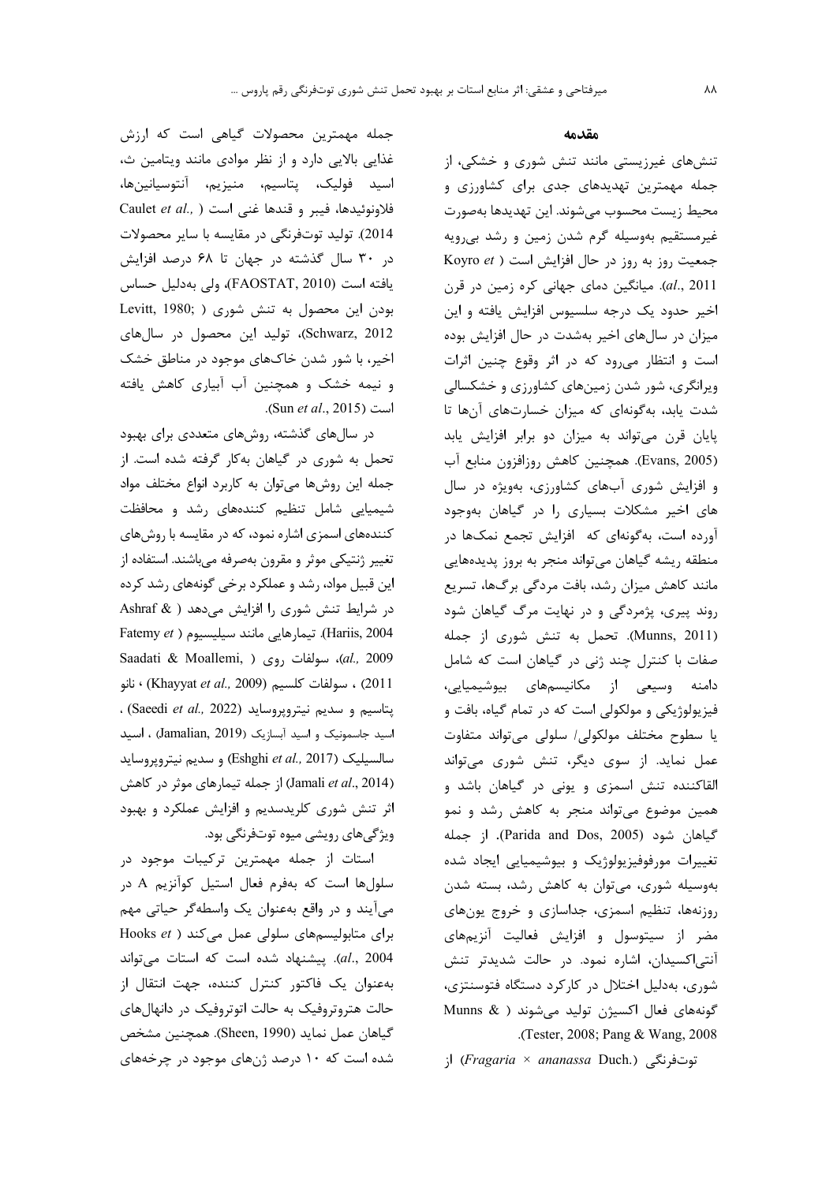جمله مهمترین محصولات گیاهی است که ارزش غذایی بالایی دارد و از نظر موادی مانند ویتامین ث، اسيد فوليک، پتاسيم، منيزيم، آنتوسيانينها، Caulet et al., ) فلاونوئيدها، فيبر و قندها غنى است 2014). تولید توتفرنگی در مقایسه با سایر محصولات در ۳۰ سال گذشته در جهان تا ۶۸ درصد افزایش يافته است (FAOSTAT, 2010)، ولي بهدليل حساس Levitt, 1980; ) بودن این محصول به تنش شوری ( Schwarz, 2012)، تولید این محصول در سال های اخیر، با شور شدن خاکهای موجود در مناطق خشک و نیمه خشک و همچنین آب آبیاری کاهش یافته است (Sun et al., 2015).

در سالهای گذشته، روشهای متعددی برای بهبود تحمل به شوری در گیاهان بهکار گرفته شده است. از جمله این روشها میتوان به کاربرد انواع مختلف مواد شیمیایی شامل تنظیم کنندههای رشد و محافظت کنندههای اسمزی اشاره نمود، که در مقایسه با روشهای تغییر ژنتیکی موثر و مقرون بهصرفه میباشند. استفاده از این قبیل مواد، رشد و عملکرد برخی گونههای رشد کرده در شرایط تنش شوری را افزایش میدهد ( & Ashraf Fatemy et ). تيمارهايي مانند سيليسيوم ( Fatemy et 8aadati & Moallemi, ) روی ( ,al., 2009 2011) ، سولفات كلسيم (Khayyat et al., 2009) ، نانو . (Saeedi et al., 2022) بتاسيم و سديم نيتروپروسايد اسيد جاسمونيک و اسيد آبسازيک (Jamalian, 2019) ، اسيد سالسيليک (Eshghi et al., 2017) و سديم نيتروپروسايد (Jamali et al., 2014) از جمله تیمارهای موثر در کاهش اثر تنش شوری کلریدسدیم و افزایش عملکرد و بهبود ویژگی های رویشی میوه توتفرنگی بود.

استات از جمله مهمترین ترکیبات موجود در سلولها است که بهفرم فعال استیل کوآنزیم A در می آیند و در واقع بهعنوان یک واسطهگر حیاتی مهم Hooks  $et$ ) برای متابولیسمهای سلولی عمل می کند al., 2004). پیشنهاد شده است که استات میتواند به عنوان یک فاکتور کنترل کننده، جهت انتقال از حالت هتروتروفیک به حالت اتوتروفیک در دانهالهای گیاهان عمل نماید (Sheen, 1990). همچنین مشخص شده است که ۱۰ درصد ژنهای موجود در چرخههای

#### مقدمه

تنشهای غیرزیستی مانند تنش شوری و خشکی، از جمله مهمترین تهدیدهای جدی برای کشاورزی و محيط زيست محسوب مىشوند. اين تهديدها بهصورت غیرمستقیم بهوسیله گرم شدن زمین و رشد بی رویه Koyro et ) افزایش است (Koyro et ) al., 2011). میانگین دمای جهانی کره زمین در قرن اخیر حدود یک درجه سلسیوس افزایش یافته و این میزان در سالهای اخیر بهشدت در حال افزایش بوده است و انتظار می رود که در اثر وقوع چنین اثرات ویرانگری، شور شدن زمینهای کشاورزی و خشکسالی شدت یابد، بهگونهای که میزان خسارتهای آنها تا پایان قرن میتواند به میزان دو برابر افزایش یابد (Evans, 2005). همچنین کاهش روزافزون منابع آب و افزایش شوری آبهای کشاورزی، بهویژه در سال های اخیر مشکلات بسیاری را در گیاهان بهوجود آورده است، بهگونهای که افزایش تجمع نمکها در منطقه ریشه گیاهان میتواند منجر به بروز پدیدههایی مانند کاهش میزان رشد، بافت مردگی برگها، تسریع روند پیری، پژمردگی و در نهایت مرگ گیاهان شود (Munns, 2011). تحمل به تنش شوری از جمله صفات با کنترل چند ژنی در گیاهان است که شامل دامنه وسیعی از مکانیسمهای بیوشیمیایی، فيزيولوژيکي و مولکولي است که در تمام گياه، بافت و یا سطوح مختلف مولکولی/ سلولی میتواند متفاوت عمل نماید. از سوی دیگر، تنش شوری میتواند القاکننده تنش اسمزی و یونی در گیاهان باشد و همین موضوع می تواند منجر به کاهش رشد و نمو گیاهان شود (Parida and Dos, 2005). از جمله تغییرات مورفوفیزیولوژیک و بیوشیمیایی ایجاد شده بەوسىلە شورى، مى توان بە كاھش رشد، بستە شدن روزنهها، تنظیم اسمزی، جداسازی و خروج یونهای مضر از سیتوسول و افزایش فعالیت آنزیمهای آنتی|کسیدان، اشاره نمود. در حالت شدیدتر تنش شوری، بهدلیل اختلال در کارکرد دستگاه فتوسنتزی، Munns & ) گونههای فعال اکسیژن تولید می شوند Tester, 2008; Pang & Wang, 2008.

;| (Fragaria × ananassa Duch.) (;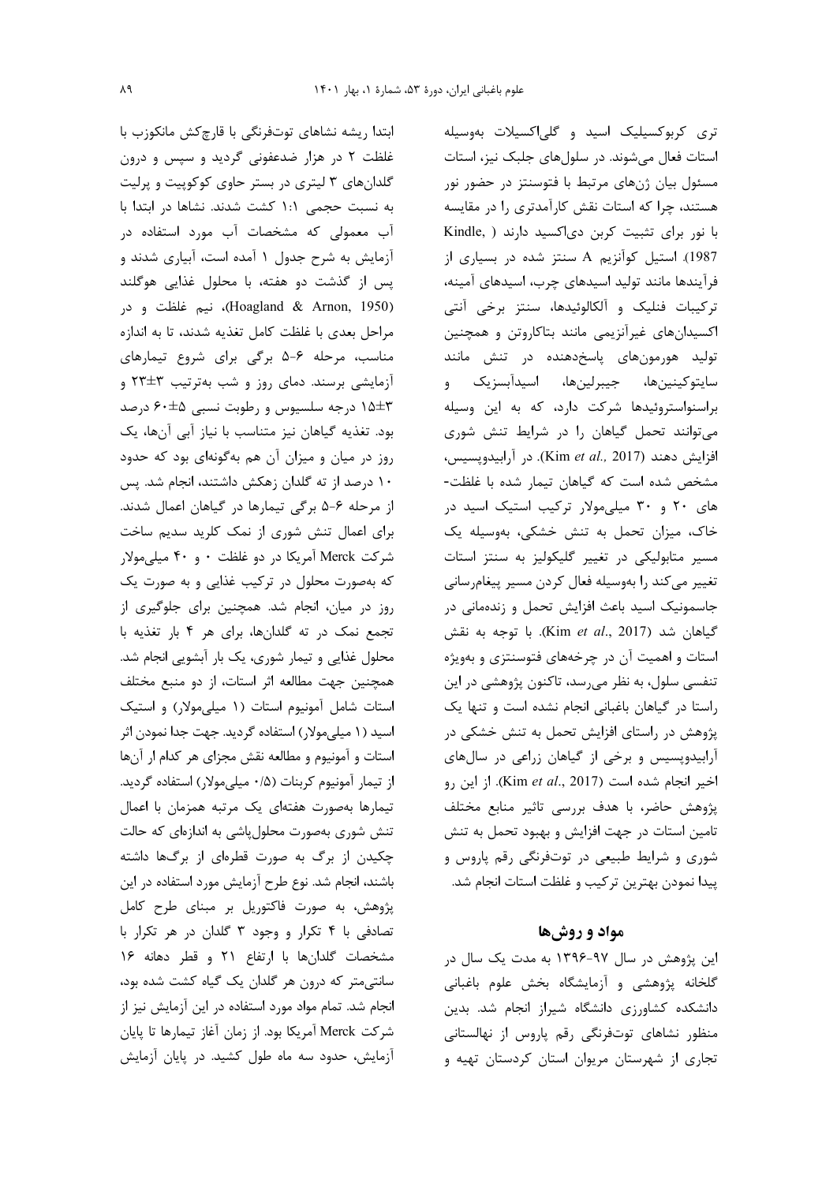ابتدا ریشه نشاهای توتفرنگی با قارچکش مانکوزب با غلظت ۲ در هزار ضدعفونی گردید و سپس و درون گلدانهای ۳ لیتری در بستر حاوی کوکوپیت و پرلیت به نسبت حجمی ١:١ کشت شدند. نشاها در ابتدا با آب معمولی که مشخصات آب مورد استفاده در آزمایش به شرح جدول ۱ آمده است، آبیاری شدند و پس از گذشت دو هفته، با محلول غذایی هوگلند (Hoagland & Arnon, 1950)، نيم غلظت و در مراحل بعدى با غلظت كامل تغذيه شدند، تا به اندازه مناسب، مرحله ۶-۵ برگی برای شروع تیمارهای آزمایشی برسند. دمای روز و شب بهترتیب ۳±۲۳ و ۱۵±۳ درجه سلسیوس و رطوبت نسبی ۶۰±۶۰ درصد بود. تغذیه گیاهان نیز متناسب با نیاز آبی آنها، یک روز در میان و میزان آن هم بهگونهای بود که حدود ۱۰ درصد از ته گلدان زهکش داشتند، انجام شد. پس از مرحله ۶-۵ برگی تیمارها در گیاهان اعمال شدند. برای اعمال تنش شوری از نمک کلرید سدیم ساخت شرکت Merck آمریکا در دو غلظت ۰ و ۴۰ میلی مولار که بهصورت محلول در ترکیب غذایی و به صورت یک روز در میان، انجام شد. همچنین برای جلوگیری از تجمع نمک در ته گلدانها، برای هر ۴ بار تغذیه با محلول غذایی و تیمار شوری، یک بار آبشویی انجام شد. همچنین جهت مطالعه اثر استات، از دو منبع مختلف استات شامل آمونیوم استات (۱ میلی مولار) و استیک اسید (۱ میلی مولار) استفاده گردید. جهت جدا نمودن اثر استات و آمونیوم و مطالعه نقش مجزای هر کدام ار آنها از تیمار آمونیوم کربنات (۰/۵ میلیمولار) استفاده گردید. تیمارها بهصورت هفتهای یک مرتبه همزمان با اعمال تنش شوری بهصورت محلول پاشی به اندازهای که حالت چکیدن از برگ به صورت قطرهای از برگها داشته باشند، انجام شد. نوع طرح آزمایش مورد استفاده در این پژوهش، به صورت فاكتوريل بر مبناى طرح كامل تصادفی با ۴ تکرار و وجود ۳ گلدان در هر تکرار با مشخصات گلدانها با ارتفاع ۲۱ و قطر دهانه ۱۶ سانتی متر که درون هر گلدان یک گیاه کشت شده بود، انجام شد. تمام مواد مورد استفاده در این آزمایش نیز از شركت Merck آمريكا بود. از زمان آغاز تيمارها تا پايان آزمایش، حدود سه ماه طول کشید. در پایان آزمایش تری کربوکسیلیک اسید و گلیاکسیلات بهوسیله استات فعال می شوند. در سلول های جلبک نیز، استات مسئول بیان ژنهای مرتبط با فتوسنتز در حضور نور هستند، چرا که استات نقش کارآمدتری را در مقایسه با نور برای تثبیت کربن دی اکسید دارند ( .Kindle 1987). استیل کوآنزیم A سنتز شده در بسیاری از فرآیندها مانند تولید اسیدهای چرب، اسیدهای آمینه، تركيبات فنليك و آلكالوئيدها، سنتز برخي آنتي اکسیدانهای غیرآنزیمی مانند بتاکاروتن و همچنین تولید هورمونهای پاسخدهنده در تنش مانند سايتوكينينها، جيبرلينها، اسيدآبسزيک و براسنواستروئیدها شرکت دارد، که به این وسیله می توانند تحمل گیاهان را در شرایط تنش شوری افزايش دهند (Kim et al., 2017). در آرابيدوپسيس، مشخص شده است كه گیاهان تیمار شده با غلظت-های ۲۰ و ۳۰ میلی مولار ترکیب استیک اسید در خاک، میزان تحمل به تنش خشکی، بهوسیله یک مسیر متابولیکی در تغییر گلیکولیز به سنتز استات تغییر میکند را بهوسیله فعال کردن مسیر پیغامرسانی جاسمونیک اسید باعث افزایش تحمل و زندهمانی در گیاهان شد (Kim et al., 2017). با توجه به نقش استات و اهمیت آن در چرخههای فتوسنتزی و بهویژه تنفسی سلول، به نظر می رسد، تاکنون پژوهشی در این راستا در گیاهان باغبانی انجام نشده است و تنها یک پژوهش در راستای افزایش تحمل به تنش خشکی در آرابیدوپسیس و برخی از گیاهان زراعی در سال های اخير انجام شده است (Kim et al., 2017). از اين رو پژوهش حاضر، با هدف بررسی تاثیر منابع مختلف تامین استات در جهت افزایش و بهبود تحمل به تنش شوری و شرایط طبیعی در توتفرنگی رقم پاروس و پیدا نمودن بهترین ترکیب و غلظت استات انجام شد.

## مواد و روش ها

این پژوهش در سال ۹۷-۱۳۹۶ به مدت یک سال در گلخانه پژوهشی و آزمایشگاه بخش علوم باغبانی دانشکده کشاورزی دانشگاه شیراز انجام شد. بدین منظور نشاهای توتفرنگی رقم پاروس از نهالستانی تجاری از شهرستان مریوان استان کردستان تهیه و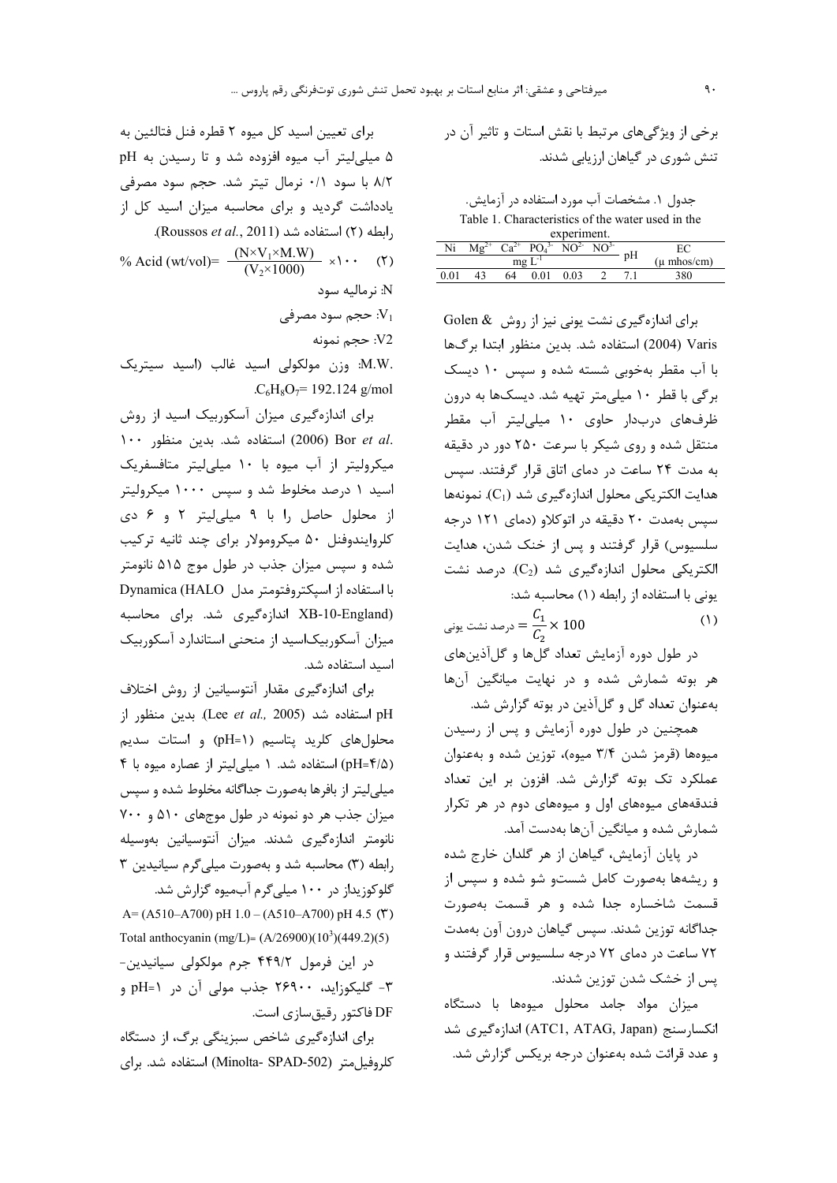برای تعیین اسید کل میوه ۲ قطره فنل فتالئین به ۵ میلی لیتر آب میوه افزوده شد و تا رسیدن به pH ٨/٢ با سود ٠/١ نرمال تيتر شد. حجم سود مصرفى یادداشت گردید و برای محاسبه میزان اسید کل از . ابطه (٢) استفاده شد (Roussos et al., 2011). % Acid (wt/vol)=  $\frac{(N \times V_1 \times M.W)}{(V_2 \times 1000)} \times 1$ . (Y) N: نرماليه سود ججم سود مصرفی  $\cdot V_1$ 

V2: حجم نمونه .M.W: وزن مولکولی اسید غالب (اسید سیتریک

.C<sub>6</sub>H<sub>8</sub>O<sub>7</sub>= 192.124 g/mol

برای اندازهگیری میزان آسکوربیک اسید از روش .2006) Bor et al (2006) استفاده شد. بدین منظور ١٠٠ میکرولیتر از آب میوه با ۱۰ میلی لیتر متافسفریک اسید ۱ درصد مخلوط شد و سپس ۱۰۰۰ میکرولیتر از محلول حاصل را با ۹ میلی لیتر ۲ و ۶ دی کلروایندوفنل ۵۰ میکرومولار برای چند ثانیه ترکیب شده و سپس میزان جذب در طول موج ۵۱۵ نانومتر با استفاده از اسپکتروفتومتر مدل Dynamica (HALO (XB-10-England اندازهگیری شد. برای محاسبه میزان آسکوربیکاسید از منحنی استاندارد آسکوربیک اسید استفاده شد.

برای اندازهگیری مقدار آنتوسیانین از روش اختلاف استفاده شد (Lee et al., 2005). بدين منظور از محلول های کلرید پتاسیم (pH=۱) و استات سدیم (pH=۴/۵) استفاده شد. ١ میلی لیتر از عصاره میوه با ۴ میلی لیتر از بافرها بهصورت جداگانه مخلوط شده و سپس میزان جذب هر دو نمونه در طول موجهای ۵۱۰ و ۷۰۰ نانومتر اندازەگیری شدند. میزان آنتوسیانین بەوسیلە رابطه (٣) محاسبه شد و بهصورت میلی گرم سیانیدین ٣ گلوکوزیداز در ۱۰۰ میلی گرم آبمیوه گزارش شد.

A=(A510-A700) pH 1.0 - (A510-A700) pH 4.5 ( $\check{r}$ ) Total anthocyanin (mg/L)=  $(A/26900)(10^3)(449.2)(5)$ 

در این فرمول ۴۴۹/۲ جرم مولکولی سیانیدین-٣- گليکوزايد، ٢۶٩٠٠ جذب مولى آن در pH=۱ و DF فاکتور رقیق سازی است.

برای اندازهگیری شاخص سبزینگی برگ، از دستگاه كلروفيل متر (Minolta- SPAD-502) استفاده شد. براي برخي از ويژگيهاي مرتبط با نقش استات و تاثير آن در تنش شوری در گیاهان ارزیابی شدند.

جدول ۱. مشخصات آب مورد استفاده در آزمایش. Table 1. Characteristics of the water used in the

| Ni<br>$\mathrm{Ca}^{2+}$<br>pH<br>- 1<br>mg | experiment. |  |    |  |  |  |                         |  |
|---------------------------------------------|-------------|--|----|--|--|--|-------------------------|--|
|                                             |             |  |    |  |  |  |                         |  |
|                                             |             |  |    |  |  |  | $(\mu \text{ mhos/cm})$ |  |
|                                             |             |  | 54 |  |  |  |                         |  |

برای اندازهگیری نشت یونی نیز از روش Golen & Varis (2004) استفاده شد. بدين منظور ابتدا برگها با آب مقطر بهخوبی شسته شده و سپس ١٠ ديسک برگی با قطر ۱۰ میلی متر تهیه شد. دیسکها به درون ظرفهای دربدار حاوی ۱۰ میلی لیتر آب مقطر منتقل شده و روی شیکر با سرعت ۲۵۰ دور در دقیقه به مدت ٢۴ ساعت در دمای اتاق قرار گرفتند. سپس هدايت الكتريكي محلول اندازهگيري شد (C1). نمونهها سیس بهمدت ۲۰ دقیقه در اتوکلاو (دمای ۱۲۱ درجه سلسیوس) قرار گرفتند و پس از خنک شدن، هدایت الکتریکی محلول اندازهگیری شد (C2). درصد نشت یونی با استفاده از رابطه (۱) محاسبه شد:

هر بوته شمارش شده و در نهایت میانگین آنها بهعنوان تعداد گل و گل آذین در بوته گزارش شد.

همچنین در طول دوره آزمایش و پس از رسیدن میوهها (قرمز شدن ۳/۴ میوه)، توزین شده و بهعنوان عملکرد تک بوته گزارش شد. افزون بر این تعداد فندقههای میوههای اول و میوههای دوم در هر تکرار شمارش شده و میانگین آنها بهدست آمد.

در پایان آزمایش، گیاهان از هر گلدان خارج شده و ریشهها بهصورت کامل شستو شو شده و سپس از قسمت شاخساره جدا شده و هر قسمت بهصورت جداگانه توزین شدند. سپس گیاهان درون آون بهمدت ۷۲ ساعت در دمای ۷۲ درجه سلسیوس قرار گرفتند و یس از خشک شدن توزین شدند.

میزان مواد جامد محلول میوهها با دستگاه انکسارسنج (ATC1, ATAG, Japan) اندازہگیری شد و عدد قرائت شده بهعنوان درجه بریکس گزارش شد.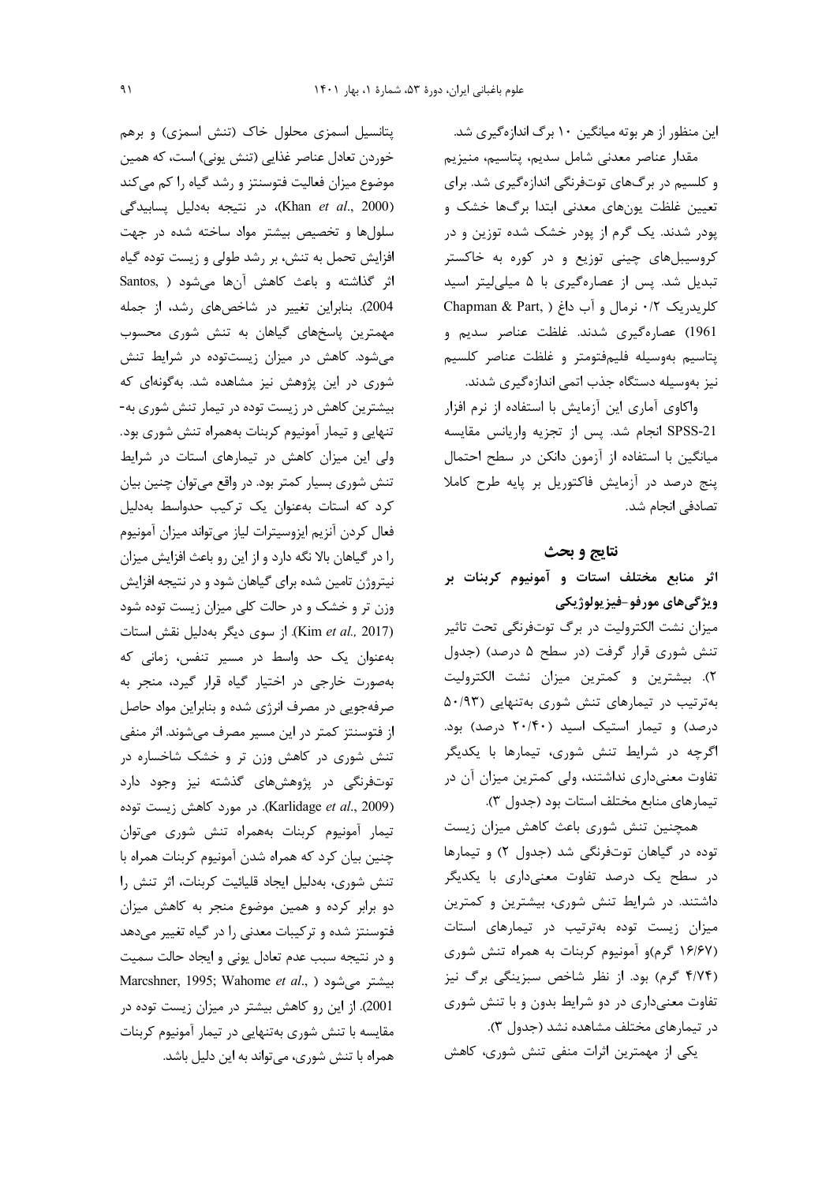این منظور از هر بوته میانگین ۱۰ برگ اندازهگیری شد. مقدار عناصر معدنى شامل سديم، پتاسيم، منيزيم و کلسیم در برگهای توتفرنگی اندازهگیری شد. برای تعیین غلظت یونهای معدنی ابتدا برگها خشک و پودر شدند. یک گرم از پودر خشک شده توزین و در کروسیبلهای چینی توزیع و در کوره به خاکستر تبدیل شد. پس از عصارهگیری با ۵ میلی لیتر اسید کلریدریک ۰/۲ نرمال و آب داغ ( Chapman & Part, 1961) عصارهگیری شدند. غلظت عناصر سدیم و پتاسيم بهوسيله فليمفتومتر و غلظت عناصر كلسيم نیز بهوسیله دستگاه جذب اتمی اندازهگیری شدند.

واكاوى آمارى اين آزمايش با استفاده از نرم افزار SPSS-21 انجام شد. پس از تجزیه واریانس مقایسه میانگین با استفاده از آزمون دانکن در سطح احتمال پنج درصد در آزمایش فاکتوریل بر پایه طرح کاملا تصادفي انجام شد.

### نتايج و بحث

اثر منابع مختلف استات و آمونیوم کربنات بر ويژگىهاى مورفو-فيزيولوژيكى

میزان نشت الکترولیت در برگ توتفرنگی تحت تاثیر تنش شوری قرار گرفت (در سطح ۵ درصد) (جدول ٢). بيشترين و كمترين ميزان نشت الكتروليت بهترتیب در تیمارهای تنش شوری بهتنهایی (۵۰/۹۳ درصد) و تیمار استیک اسید (۲۰/۴۰ درصد) بود. اگرچه در شرایط تنش شوری، تیمارها با یکدیگر تفاوت معنی داری نداشتند، ولی کمترین میزان آن در تيمارهاي منابع مختلف استات بود (جدول ٣).

همچنین تنش شوری باعث کاهش میزان زیست توده در گیاهان توتفرنگی شد (جدول ۲) و تیمارها در سطح یک درصد تفاوت معنیداری با یکدیگر داشتند. در شرایط تنش شوری، بیشترین و کمترین میزان زیست توده بهترتیب در تیمارهای استات (۱۶/۶۷ گرم)و آمونیوم کربنات به همراه تنش شوری (۴/۷۴ گرم) بود. از نظر شاخص سبزینگی برگ نیز تفاوت معنیداری در دو شرایط بدون و با تنش شوری در تیمارهای مختلف مشاهده نشد (جدول ۳).

یکی از مهمترین اثرات منفی تنش شوری، کاهش

پتانسیل اسمزی محلول خاک (تنش اسمزی) و برهم خوردن تعادل عناصر غذايي (تنش يوني) است، كه همين موضوع میزان فعالیت فتوسنتز و رشد گیاه را کم میکند (Khan et al., 2000)، در نتيجه بهدليل پسابيدگی سلولها وتخصيص بيشتر مواد ساخته شده در جهت افزایش تحمل به تنش، بر رشد طولی و زیست توده گیاه اثر گذاشته و باعث كاهش آنها مى شود ( Santos, 2004). بنابراین تغییر در شاخصهای رشد، از جمله مهمترین پاسخهای گیاهان به تنش شوری محسوب می شود. کاهش در میزان زیستتوده در شرایط تنش شوری در این پژوهش نیز مشاهده شد. بهگونهای که بیشترین کاهش در زیست توده در تیمار تنش شوری به-تنهایی و تیمار آمونیوم کربنات بههمراه تنش شوری بود. ولی این میزان کاهش در تیمارهای استات در شرایط تنش شوری بسیار کمتر بود. در واقع میتوان چنین بیان کرد که استات بهعنوان یک ترکیب حدواسط بهدلیل فعال کردن آنزیم ایزوسیترات لیاز می تواند میزان آمونیوم را در گیاهان بالا نگه دارد و از این رو باعث افزایش میزان نیتروژن تامین شده برای گیاهان شود و در نتیجه افزایش وزن تر و خشک و در حالت کلی میزان زیست توده شود (Kim et al., 2017). از سوی دیگر بهدلیل نقش استات بهعنوان یک حد واسط در مسیر تنفس، زمانی که بهصورت خارجی در اختیار گیاه قرار گیرد، منجر به صرفهجویی در مصرف انرژی شده و بنابراین مواد حاصل از فتوسنتز کمتر در این مسیر مصرف میشوند. اثر منفی تنش شوری در کاهش وزن تر و خشک شاخساره در توتفرنگی در پژوهشهای گذشته نیز وجود دارد (Karlidage et al., 2009). در مورد كاهش زيست توده تیمار آمونیوم کربنات بههمراه تنش شوری میتوان چنین بیان کرد که همراه شدن آمونیوم کربنات همراه با تنش شوری، بهدلیل ایجاد قلیائیت کربنات، اثر تنش را دو برابر کرده و همین موضوع منجر به کاهش میزان فتوسنتز شده و ترکیبات معدنی را در گیاه تغییر می دهد و در نتيجه سبب عدم تعادل يوني و ايجاد حالت سميت Marcshner, 1995; Wahome et al., ) بیشتر می شود 2001). از این رو کاهش بیشتر در میزان زیست توده در مقایسه با تنش شوری بهتنهایی در تیمار آمونیوم کربنات همراه با تنش شوري، مي تواند به اين دليل باشد.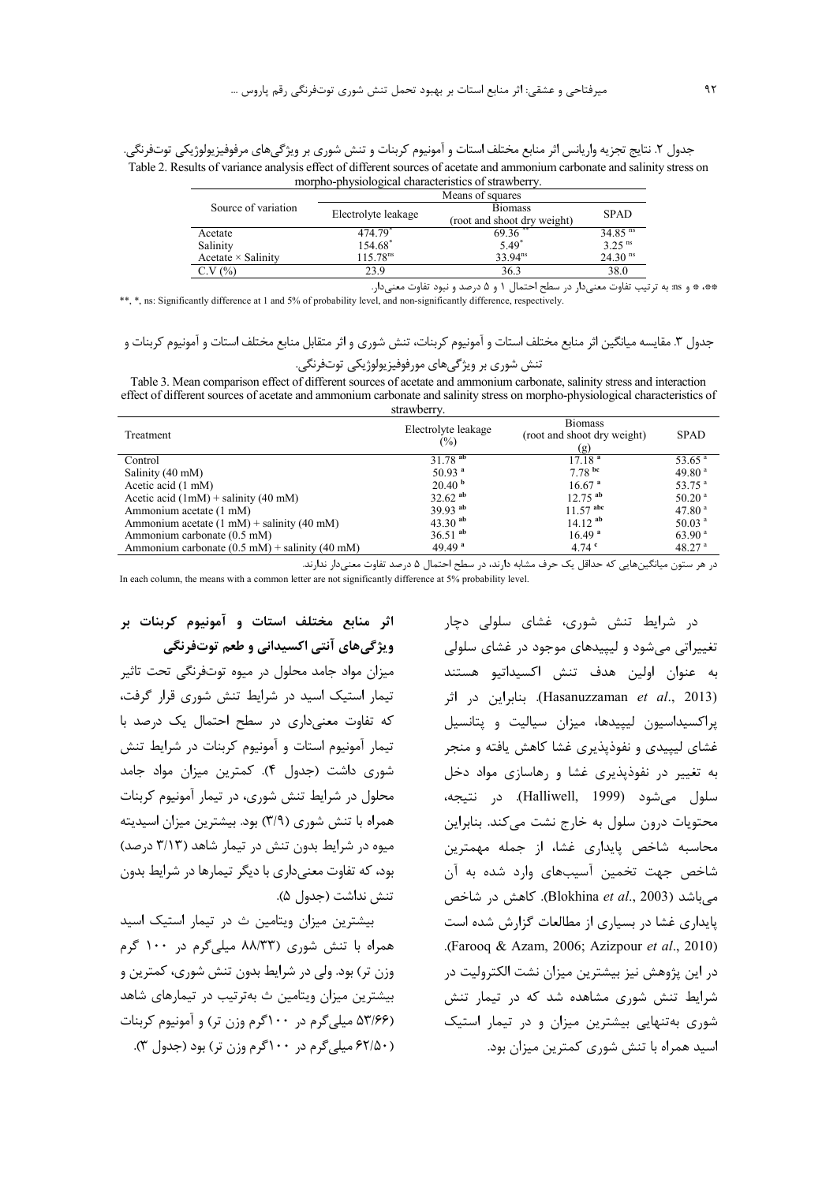جدول ۲. نتايج تجزيه واريانس اثر منابع مختلف استات و آمونيوم كربنات و تنش شورى بر ويژگىهاى مرفوفيزيولوژيكى توتفرنگى. Table 2. Results of variance analysis effect of different sources of acetate and ammonium carbonate and salinity stress on morpho-physiological characteristics of strawberry.

|                           |                      | Means of squares                                                                  |                       |
|---------------------------|----------------------|-----------------------------------------------------------------------------------|-----------------------|
| Source of variation       | Electrolyte leakage  | <b>Biomass</b>                                                                    | <b>SPAD</b>           |
| Acetate                   | 474.79               | (root and shoot dry weight)<br>$69.36$ <sup>**</sup>                              | $34.85$ <sup>ns</sup> |
| Salinity                  | 154.68*              | $5.49^*$                                                                          | $3.25$ <sup>ns</sup>  |
| Acetate $\times$ Salinity | 115.78 <sup>ns</sup> | $33.94^{ns}$                                                                      | $24.30$ <sup>ns</sup> |
| C.V(%)                    | 23.9                 | 36.3                                                                              | 38.0                  |
|                           |                      | **، * و ms: به ترتیب تفاوت معنیدار در سطح احتمال ۱ و ۵ درصد و نبود تفاوت معنیدار. |                       |

\*\*, \*, ns: Significantly difference at 1 and 5% of probability level, and non-significantly difference, respectively.

# جدول ٣. مقايسه ميانگين اثر منابع مختلف استات و آمونيوم كربنات، تنش شوري و اثر متقابل منابع مختلف استات و آمونيوم كربنات و

# تنش شوری بر ویژگیهای مورفوفیزیولوژیکی توتفرنگی.

Table 3. Mean comparison effect of different sources of acetate and ammonium carbonate, salinity stress and interaction effect of different sources of acetate and ammonium carbonate and salinity stress on morpho-physiological characteristics of *strawherry* 

|                                                                | 0.1.4.1.0.11.7.               |                                                      |                      |
|----------------------------------------------------------------|-------------------------------|------------------------------------------------------|----------------------|
| Treatment                                                      | Electrolyte leakage<br>$(\%)$ | <b>Biomass</b><br>(root and shoot dry weight)<br>(g) | <b>SPAD</b>          |
| Control                                                        | $31.78$ <sup>ab</sup>         | 17.18 <sup>a</sup>                                   | $53.65$ <sup>a</sup> |
| Salinity (40 mM)                                               | $50.93$ <sup>a</sup>          | 7.78 <sup>bc</sup>                                   | 49.80 $a$            |
| Acetic acid $(1 \text{ mM})$                                   | 20.40 <sup>b</sup>            | 16.67 <sup>a</sup>                                   | 53.75 <sup>a</sup>   |
| Acetic acid $(1mM)$ + salinity (40 mM)                         | $32.62$ <sup>ab</sup>         | $12.75$ <sup>ab</sup>                                | $50.20$ <sup>a</sup> |
| Ammonium acetate (1 mM)                                        | 39.93 $^{ab}$                 | $11.57$ abc                                          | 47.80 <sup>a</sup>   |
| Ammonium acetate $(1 \text{ mM})$ + salinity $(40 \text{ mM})$ | 43.30 $^{ab}$                 | $14.12$ <sup>ab</sup>                                | 50.03 <sup>a</sup>   |
| Ammonium carbonate (0.5 mM)                                    | $36.51$ <sup>ab</sup>         | 16.49 <sup>a</sup>                                   | 63.90 <sup>a</sup>   |
| Ammonium carbonate $(0.5 \text{ mM})$ + salinity (40 mM)       | 49.49 $a$                     | 4.74 $^{\circ}$                                      | 48.27 <sup>a</sup>   |

در هر ستون مبانگینهایی که حداقل یک حرف مشابه دارند، در سطح احتمال ۵ درصد تفاوت معنی دار ندارند.

In each column, the means with a common letter are not significantly difference at 5% probability level.

اثر منابع مختلف استات و آمونیوم کربنات بر ویژگی های آنتی اکسیدانی و طعم توتفرنگی

میزان مواد جامد محلول در میوه توتفرنگی تحت تاثیر تیمار استیک اسید در شرایط تنش شوری قرار گرفت، كه تفاوت معنے دارى در سطح احتمال يک درصد يا تیمار آمونیوم استات و آمونیوم کربنات در شرایط تنش شوری داشت (جدول ۴). کمترین میزان مواد جامد محلول در شرایط تنش شوری، در تیمار آمونیوم کربنات همراه با تنش شوری (٣/٩) بود. بیشترین میزان اسیدیته میوه در شرایط بدون تنش در تیمار شاهد (۳/۱۳ درصد) بود، که تفاوت معنیداری با دیگر تیمارها در شرایط بدون تنش نداشت (حدول ۵).

بیشترین میزان ویتامین ث در تیمار استیک اسید همراه با تنش شوری (۸۸/۳۳ میلے گرم در ۱۰۰ گرم وزن تر) بود. ولي در شرايط بدون تنش شوري، كمترين و بیشترین میزان ویتامین ث بهترتیب در تیمارهای شاهد (۵۳/۶۶ میلی گرم در ۱۰۰گرم وزن تر) و آمونیوم کربنات (۶۲/۵۰ میلی گرم در ۱۰۰گرم وزن تر) بود (جدول ۳).

در شرایط تنش شوری، غشای سلولی دچار تغییراتی میشود و لیپیدهای موجود در غشای سلولی به عنوان اولين هدف تنش اكسيداتيو هستند (Hasanuzzaman et al., 2013). بنابراين در اثر براكسيداسيون ليبيدها، ميزان سياليت و يتانسيل غشای لیپیدی و نفوذیذیری غشا کاهش یافته و منجر به تغییر در نفوذپذیری غشا و رهاسازی مواد دخل سلول مي شود (Halliwell, 1999). در نتيجه، محتویات درون سلول به خارج نشت می کند. بنابراین محاسبه شاخص پایداری غشا، از جمله مهمترین شاخص جهت تخمین آسیبهای وارد شده به آن می باشد (Blokhina et al., 2003). كاهش در شاخص یایداری غشا در بسیاری از مطالعات گزارش شده است .(Farooq & Azam, 2006; Azizpour et al., 2010). در این پژوهش نیز بیشترین میزان نشت الکترولیت در شرایط تنش شوری مشاهده شد که در تیمار تنش شوری بهتنهایی بیشترین میزان و در تیمار استیک اسید همراه با تنش شوری کمترین میزان بود.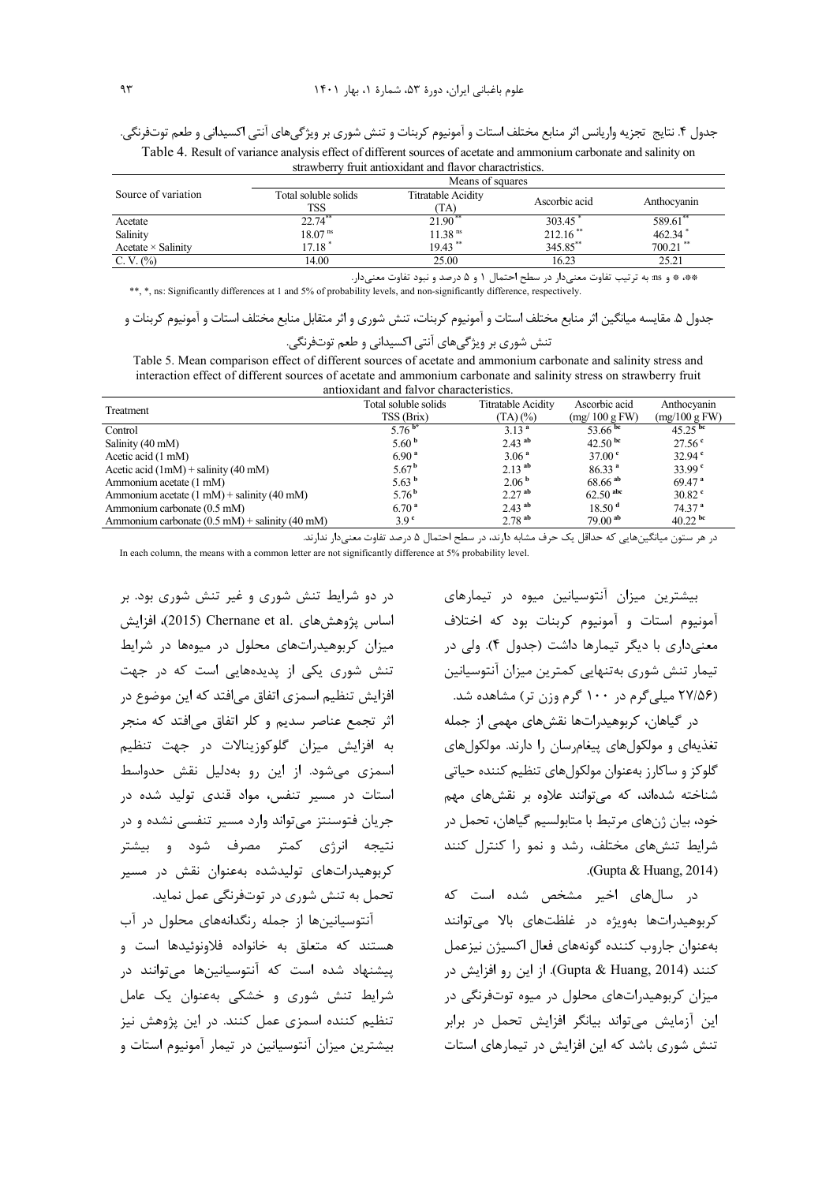جدول ۴. نتايج تجزيه واريانس اثر منابع مختلف استات و آمونيوم كربنات و تنش شوري بر ويژگيهاي آنتي اكسيداني و طعم توتفرنگي. Table 4. Result of variance analysis effect of different sources of acetate and ammonium carbonate and salinity on

strawberry fruit antioxidant and flavor charactristics.

|                           | Means of squares     |                           |               |             |  |
|---------------------------|----------------------|---------------------------|---------------|-------------|--|
| Source of variation       | Total soluble solids | <b>Titratable Acidity</b> |               |             |  |
|                           | <b>TSS</b>           | TA)                       | Ascorbic acid | Anthocyanin |  |
| Acetate                   | $22.74***$           | $21.90$ <sup>**</sup>     | 303.45        | 589.61°     |  |
| Salinity                  | 18.07 <sup>ns</sup>  | $11.38$ <sup>ns</sup>     | $212.16$ **   | 462.34      |  |
| Acetate $\times$ Salinity | 17.18                | $19.43$ <sup>**</sup>     | 345.85**      | $700.21$ ** |  |
| C. V. (%)                 | 14.00                | 25.00                     | 16.23         | 25.21       |  |
|                           |                      |                           |               |             |  |

\*\*، \* و ms: به ترتیب تفاوت معنیدار در سطح احتمال ۱ و ۵ درصد و نبود تفاوت معنیدار.

\*\*, \*, ns: Significantly differences at 1 and 5% of probability levels, and non-significantly difference, respectively.

جدول ۵. مقايسه ميانگين اثر منابع مختلف استات و آمونيوم كربنات، تنش شوري و اثر متقابل منابع مختلف استات و آمونيوم كربنات و

| نش شوری بر ویژگیهای انتی اکسیدانی و طعم توتفرنگی |  |
|--------------------------------------------------|--|
|--------------------------------------------------|--|

Table 5. Mean comparison effect of different sources of acetate and ammonium carbonate and salinity stress and interaction effect of different sources of acetate and ammonium carbonate and salinity stress on strawberry fruit antioxidant and falvor characteristics.

| Treatment                                                | Total soluble solids<br>TSS (Brix) | <b>Titratable Acidity</b><br>$(TA)(\%)$ | Ascorbic acid<br>(mg/100 gFW) | Anthocyanin<br>$(mg/100 \text{ g FW})$ |
|----------------------------------------------------------|------------------------------------|-----------------------------------------|-------------------------------|----------------------------------------|
| Control                                                  | 5.76 $^{b*}$                       | 3.13 <sup>a</sup>                       | 53.66 bc                      | $45.25$ <sup>bc</sup>                  |
| Salinity (40 mM)                                         | 5.60 <sup>b</sup>                  | $2.43$ <sup>ab</sup>                    | 42.50 $^{bc}$                 | 27.56 <sup>o</sup>                     |
| Acetic acid $(1 \text{ mM})$                             | 6.90 <sup>a</sup>                  | 3.06 <sup>a</sup>                       | 37.00 <sup>e</sup>            | 32.94 <sup>°</sup>                     |
| Acetic acid $(1mM)$ + salinity (40 mM)                   | 5.67 <sup>b</sup>                  | $2.13^{ab}$                             | 86.33 <sup>a</sup>            | 33.99 <sup>°</sup>                     |
| Ammonium acetate (1 mM)                                  | 5.63 $^{\rm b}$                    | 2.06 <sup>b</sup>                       | $68.66$ <sup>ab</sup>         | 69.47 <sup>a</sup>                     |
| Ammonium acetate $(1 \text{ mM})$ + salinity (40 mM)     | 5.76 <sup>b</sup>                  | 2.27 <sup>ab</sup>                      | $62.50$ abc                   | $30.82$ <sup>c</sup>                   |
| Ammonium carbonate (0.5 mM)                              | 6.70 <sup>a</sup>                  | $2.43$ <sup>ab</sup>                    | 18.50 <sup>d</sup>            | 74.37 <sup>a</sup>                     |
| Ammonium carbonate $(0.5 \text{ mM})$ + salinity (40 mM) | 3.9 <sup>c</sup>                   | $2.78$ <sup>ab</sup>                    | $79.00$ <sup>ab</sup>         | $40.22$ bc                             |

در هر ستون میانگینهایی که حداقل یک حرف مشابه دارند، در سطح احتمال ۵ درصد تفاوت معنی دار ندارند.

In each column, the means with a common letter are not significantly difference at 5% probability level.

بیشترین میزان آنتوسیانین میوه در تیمارهای آمونيوم استات و آمونيوم كربنات بود كه اختلاف معنیداری با دیگر تیمارها داشت (جدول ۴). ولی در تیمار تنش شوری بهتنهایی کمترین میزان آنتوسیانین (۲۷/۵۶ میلی گرم در ۱۰۰ گرم وزن تر) مشاهده شد.

در گیاهان، کربوهیدراتها نقشهای مهمی از جمله تغذیهای و مولکولهای پیغامرسان را دارند. مولکولهای گلوکز و ساکارز بهعنوان مولکولهای تنظیم کننده حیاتی شناخته شدهاند، که می توانند علاوه بر نقشهای مهم خود، بیان ژنهای مرتبط با متابولسیم گیاهان، تحمل در شرایط تنشهای مختلف، رشد و نمو را کنترل کنند .(Gupta & Huang,  $2014$ )

در سالهای اخیر مشخص شده است که کربوهیدراتها بهویژه در غلظتهای بالا میتوانند بهعنوان جاروب كننده گونههاى فعال اكسيژن نيزعمل كنند (Gupta & Huang, 2014). از اين رو افزايش در میزان کربوهیدراتهای محلول در میوه توتفرنگی در این آزمایش می تواند بیانگر افزایش تحمل در برابر تنش شوری باشد که این افزایش در تیمارهای استات

در دو شرایط تنش شوری و غیر تنش شوری بود. بر اساس يژوهش هاي .Chernane et al (2015)، افزايش میزان کربوهیدراتهای محلول در میوهها در شرایط تنش شوری یکی از پدیدههایی است که در جهت افزایش تنظیم اسمزی اتفاق می|فتد که این موضوع در اثر تجمع عناصر سديم و كلر اتفاق مي افتد كه منجر به افزایش میزان گلوکوزینالات در جهت تنظیم اسمزی می شود. از این رو بهدلیل نقش حدواسط استات در مسیر تنفس، مواد قندی تولید شده در جریان فتوسنتز می تواند وارد مسیر تنفسی نشده و در نتیجه انرژی کمتر مصرف شود و بیشتر کربوهیدراتهای تولیدشده بهعنوان نقش در مسیر تحمل به تنش شوری در توتفرنگی عمل نماید.

آنتوسیانینها از جمله رنگدانههای محلول در آب هستند که متعلق به خانواده فلاونوئیدها است و پیشنهاد شده است که آنتوسیانینها میتوانند در شرایط تنش شوری و خشکی بهعنوان یک عامل تنظیم کننده اسمزی عمل کنند. در این پژوهش نیز بیشترین میزان آنتوسیانین در تیمار آمونیوم استات و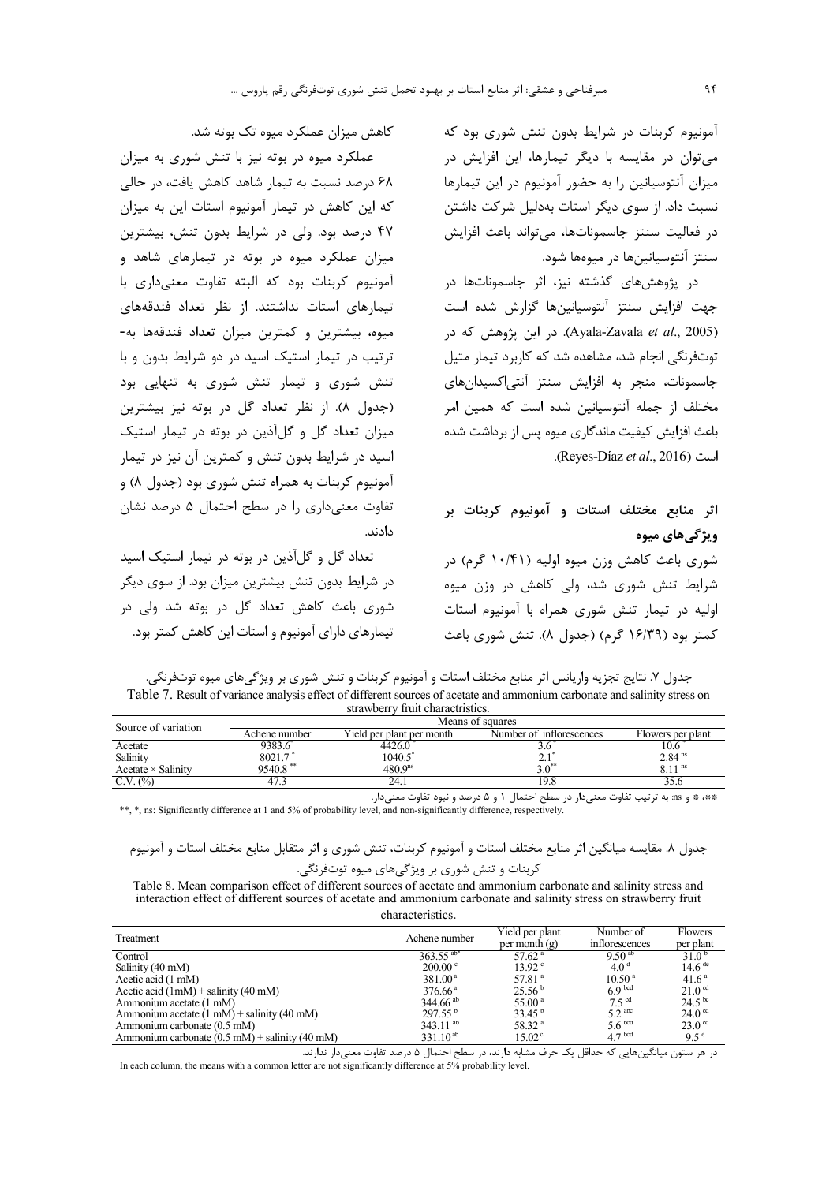آمونیوم کربنات در شرایط بدون تنش شوری بود که می توان در مقایسه با دیگر تیمارها، این افزایش در میزان آنتوسیانین را به حضور آمونیوم در این تیمارها نسبت داد. از سوی دیگر استات بهدلیل شرکت داشتن د, فعاليت سنتز جاسموناتها، مي تواند باعث افزايش سنتز آنتوسیانینها در میوهها شود.

در پژوهشهای گذشته نیز، اثر جاسموناتها در جهت افزایش سنتز آنتوسیانینها گزارش شده است (Ayala-Zavala *et al.*, 2005). در این پژوهش که در توتفرنگی انجام شد، مشاهده شد که کاربرد تیمار متیل جاسمونات، منجر به افزایش سنتز آنتی|کسیدانهای مختلف از جمله آنتوسیانین شده است که همین امر باعث افزایش کیفیت ماندگاری میوه پس از برداشت شده است (Reyes-Díaz et al., 2016).

اثر منابع مختلف استات و آمونیوم کربنات بر ویژگے های میوه شوری باعث کاهش وزن میوه اولیه (۱۰/۴۱ گرم) در شرایط تنش شوری شد، ولی کاهش در وزن میوه اولیه در تیمار تنش شوری همراه با آمونیوم استات کمتر بود (۱۶/۳۹ گرم) (جدول ۸). تنش شوری باعث

کاهش میزان عملکرد میوه تک بوته شد.

عملکرد میوه در بوته نیز با تنش شوری به میزان ۶۸ درصد نسبت به تیمار شاهد کاهش یافت، در حالی که این کاهش در تیمار آمونیوم استات این به میزان ۴۷ درصد بود. ولی در شرایط بدون تنش، بیشترین میزان عملکرد میوه د<sub>ر</sub> بوته در تیمارهای شاهد و آمونیوم کربنات بود که البته تفاوت معنیداری با تیمارهای استات نداشتند. از نظر تعداد فندقههای میوه، بیشترین و کمترین میزان تعداد فندقهها به-ترتیب در تیمار استیک اسید در دو شرایط بدون و با تنش شوری و تیمار تنش شوری به تنهایی بود (جدول ۸). از نظر تعداد گل در بوته نیز بیشترین میزان تعداد گل و گل آذین در بوته در تیمار استیک اسید در شرایط بدون تنش و کمترین آن نیز در تیمار آمونيوم كربنات به همراه تنش شوري بود (جدول ٨) و تفاوت معنی داری را در سطح احتمال ۵ درصد نشان دادند.

تعداد گل و گل آذین در بوته در تیمار استیک اسید در شرایط بدون تنش بیشترین میزان بود. از سوی دیگر شوری باعث کاهش تعداد گل در بوته شد ولی در تیمارهای دارای آمونیوم و استات این کاهش کمتر بود.

| جدول ٧. نتايج تجزيه واريانس اثر منابع مختلف استات و آمونيوم كربنات و تنش شوري بر ويژگيهاي ميوه توتفرنگي.                  |
|---------------------------------------------------------------------------------------------------------------------------|
| Table 7. Result of variance analysis effect of different sources of acetate and ammonium carbonate and salinity stress on |
| strawberry fruit charactristics.                                                                                          |

| Source of variation                     | Means of squares |                           |                                                                                                                                                                                                                                 |                      |  |
|-----------------------------------------|------------------|---------------------------|---------------------------------------------------------------------------------------------------------------------------------------------------------------------------------------------------------------------------------|----------------------|--|
|                                         | Achene number    | Yield per plant per month | Number of inflorescences                                                                                                                                                                                                        | Flowers per plant    |  |
| Acetate                                 | 9383.6           | 4426.0                    | J.U                                                                                                                                                                                                                             | 10.6                 |  |
| Salinity                                | 8021.7           | 1040.5                    |                                                                                                                                                                                                                                 | 2.84 <sup>ns</sup>   |  |
| $\text{Acetate} \times \text{Salinity}$ | $9540.8$ **      | 480.9 <sup>ns</sup>       |                                                                                                                                                                                                                                 | $6.11$ <sup>ns</sup> |  |
| C.V. (%)                                | 47.3             | 24.1                      | l Y.O                                                                                                                                                                                                                           | 99.O                 |  |
|                                         |                  |                           | $\sim$ . The contract of the contract of the contract of the contract of the contract of the contract of the contract of the contract of the contract of the contract of the contract of the contract of the contract of the co |                      |  |

\*\*، \* و ms: به ترتیب تفاوت معنیدار در سطح احتمال ۱ و ۵ درصد و نبود تفاوت معنیدار. \*\*, \*, ns: Significantly difference at 1 and 5% of probability level, and non-significantly difference, respectively.

Table 8. Mean comparison effect of different sources of acetate and ammonium carbonate and salinity stress and interaction effect of different sources of acetate and ammonium carbonate and salinity stress on strawberry fruit characteristics.

| Treatment                                                          | Achene number           | Yield per plant      | Number of            | <b>Flowers</b>       |
|--------------------------------------------------------------------|-------------------------|----------------------|----------------------|----------------------|
|                                                                    |                         | per month $(g)$      | inflorescences       | per plant            |
| Control                                                            | $363.55$ <sup>ab*</sup> | 57.62 <sup>a</sup>   | $9.50^{ab}$          | $31.0^{b}$           |
| Salinity (40 mM)                                                   | $200.00^{\circ}$        | $13.92^{\circ}$      | 4.0 <sup>d</sup>     | $14.6$ <sup>de</sup> |
| Acetic acid (1 mM)                                                 | $381.00^{\text{a}}$     | $57.81$ <sup>a</sup> | 10.50 <sup>a</sup>   | 41.6 <sup>a</sup>    |
| Acetic acid $(1mM)$ + salinity (40 mM)                             | $376.66^{\circ}$        | 25.56 <sup>b</sup>   | 6.9 <sup>bcd</sup>   | 21.0 <sup>cd</sup>   |
| Ammonium acetate (1 mM)                                            | $344.66$ <sup>ab</sup>  | 55.00 <sup>a</sup>   | 7.5 <sup>cd</sup>    | $24.5^{bc}$          |
| Ammonium acetate $(1 \text{ mM}) +$ salinity $(40 \text{ mM})$     | $297.55^{\circ}$        | 33.45 <sup>b</sup>   | $5.2$ <sup>abc</sup> | 24.0 <sup>cd</sup>   |
| Ammonium carbonate (0.5 mM)                                        | 343.11 $^{ab}$          | 58.32 <sup>a</sup>   | 5.6 <sup>bcd</sup>   | 23.0 <sup>cd</sup>   |
| Ammonium carbonate $(0.5 \text{ mM})$ + salinity $(40 \text{ mM})$ | $331.10^{ab}$           | $15.02^{\circ}$      | 4.7 <sup>bcd</sup>   | $9.5^{\circ}$        |

در هر ستون میانگینهایی که حداقل یک حرف مشابه دارند، در سطح احتمال ۵ درصد تفاوت معنیدار ندارند. In each column, the means with a common letter are not significantly difference at 5% probability level.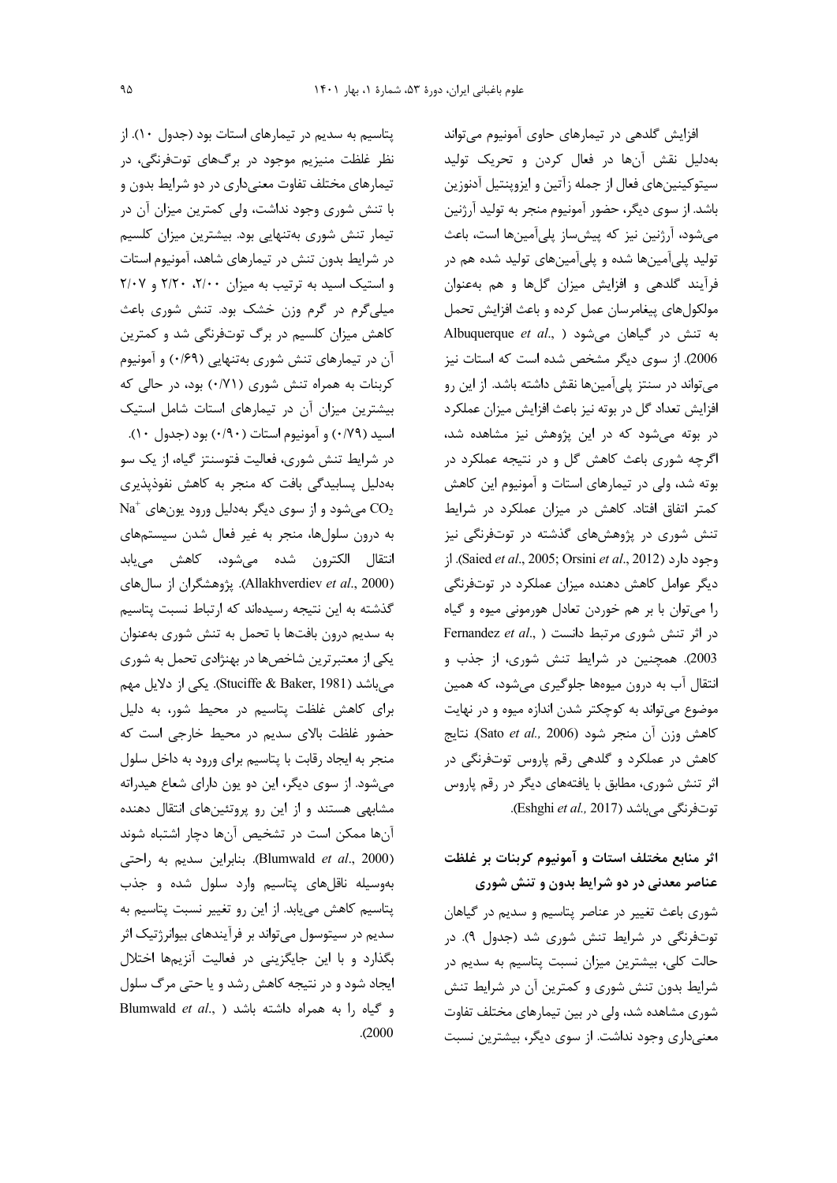پتاسیم به سدیم در تیمارهای استات بود (جدول ١٠). از نظر غلظت منیزیم موجود در برگهای توتفرنگی، در تیمارهای مختلف تفاوت معنے داری در دو شرایط بدون و با تنش شوری وجود نداشت، ولی کمترین میزان آن در تیمار تنش شوری بهتنهایی بود. بیشترین میزان کلسیم در شرایط بدون تنش در تیمارهای شاهد، آمونیوم استات و استیک اسید به ترتیب به میزان ۲/۰۰، ۲/۲۰ و ۲/۰۷ میلی گرم در گرم وزن خشک بود. تنش شوری باعث کاهش میزان کلسیم در برگ توتفرنگی شد و کمترین آن در تیمارهای تنش شوری بهتنهایی (۰/۶۹) و آمونیوم کربنات به همراه تنش شوری (۰/۷۱) بود، در حالی که بیشترین میزان آن در تیمارهای استات شامل استیک اسيد (٠/٧٩) و آمونيوم استات (٠/٩٠) بود (جدول ١٠). در شرایط تنش شوری، فعالیت فتوسنتز گیاه، از یک سو بەدلیل پسابیدگی بافت کە منجر بە کاھش نفوذیذیری  $\mathrm{Na}^+$  میشود و از سوی دیگر بهدلیل ورود یونهای $\mathrm{CO}_2$ به درون سلولها، منجر به غیر فعال شدن سیستمهای انتقال الكترون شده مىشود، كاهش مىيابد (Allakhverdiev et al., 2000). پژوهشگران از سال های گذشته به این نتیجه رسیدهاند که ارتباط نسبت پتاسیم به سديم درون بافتها با تحمل به تنش شورى بهعنوان یکی از معتبرترین شاخصها در بهنژادی تحمل به شوری می باشد (Stuciffe & Baker, 1981). یکی از دلایل مهم برای کاهش غلظت پتاسیم در محیط شور، به دلیل حضور غلظت بالای سدیم در محیط خارجی است که منجر به ایجاد رقابت با پتاسیم برای ورود به داخل سلول میشود. از سوی دیگر، این دو یون دارای شعاع هیدراته مشابهی هستند و از این رو پروتئینهای انتقال دهنده آنها ممکن است در تشخیص آنها دچار اشتباه شوند (Blumwald et al., 2000). بنابراین سدیم به راحتی بهوسیله ناقلهای پتاسیم وارد سلول شده و جذب پتاسیم کاهش می بابد. از این رو تغییر نسبت پتاسیم به سدیم در سیتوسول می تواند بر فرآیندهای بیوانرژتیک اثر بگذارد و با این جایگزینی در فعالیت آنزیمها اختلال ایجاد شود و در نتیجه کاهش رشد و یا حتی مرگ سلول Blumwald et al., ) ابه همراه داشته باشد  $. (2000)$ 

افزایش گلدهی در تیمارهای حاوی آمونیوم میتواند بهدلیل نقش آنها در فعال کردن و تحریک تولید سيتوكينينهاي فعال از جمله زآتين و ايزوينتيل آدنوزين باشد. از سوی دیگر، حضور آمونیوم منجر به تولید آرژنین میشود، آرژنین نیز که پیشساز پلیآمینها است، باعث تولید پلیآمینها شده و پلیآمینهای تولید شده هم در فرآیند گلدهی و افزایش میزان گلها و هم بهعنوان مولکولهای پیغامرسان عمل کرده و باعث افزایش تحمل Albuquerque et al., ) میشود (Albuquerque et al., ) 2006). از سوی دیگر مشخص شده است که استات نیز می تواند در سنتز پلی آمینها نقش داشته باشد. از این رو افزایش تعداد گل در بوته نیز باعث افزایش میزان عملکرد در بوته می شود که در این پژوهش نیز مشاهده شد، اگرچه شوری باعث کاهش گل و در نتیجه عملکرد در بوته شد، ولي در تيمارهاي استات و آمونيوم اين كاهش کمتر اتفاق افتاد. کاهش در میزان عملکرد در شرایط تنش شوری در پژوهشهای گذشته در توتفرنگی نیز وجود دارد (Saied et al., 2005; Orsini et al., 2012). از دیگر عوامل کاهش دهنده میزان عملکرد در توتفرنگی را می توان با بر هم خوردن تعادل هورمونی میوه و گیاه در اثر تنش شوری مرتبط دانست ( ,Fernandez et al 2003). همچنین در شرایط تنش شوری، از جذب و انتقال آب به درون میوهها جلوگیری می شود، که همین موضوع می تواند به کوچکتر شدن اندازه میوه و در نهایت كاهش وزن آن منجر شود (Sato et al., 2006). نتايج کاهش در عملکرد و گلدهی رقم پاروس توتفرنگی در اثر تنش شوری، مطابق با یافتههای دیگر در رقم پاروس توتفرنگی می باشد (Eshghi et al., 2017).

# اثر منابع مختلف استات و آمونیوم کربنات بر غلظت عناصر معدنی در دو شرایط بدون و تنش شوری

شوری باعث تغییر در عناصر پتاسیم و سدیم در گیاهان توتفرنگی در شرایط تنش شوری شد (جدول ۹). در حالت کلی، بیشترین میزان نسبت پتاسیم به سدیم در شرایط بدون تنش شوری و کمترین آن در شرایط تنش شوری مشاهده شد، ولی در بین تیمارهای مختلف تفاوت معنیداری وجود نداشت. از سوی دیگر، بیشترین نسبت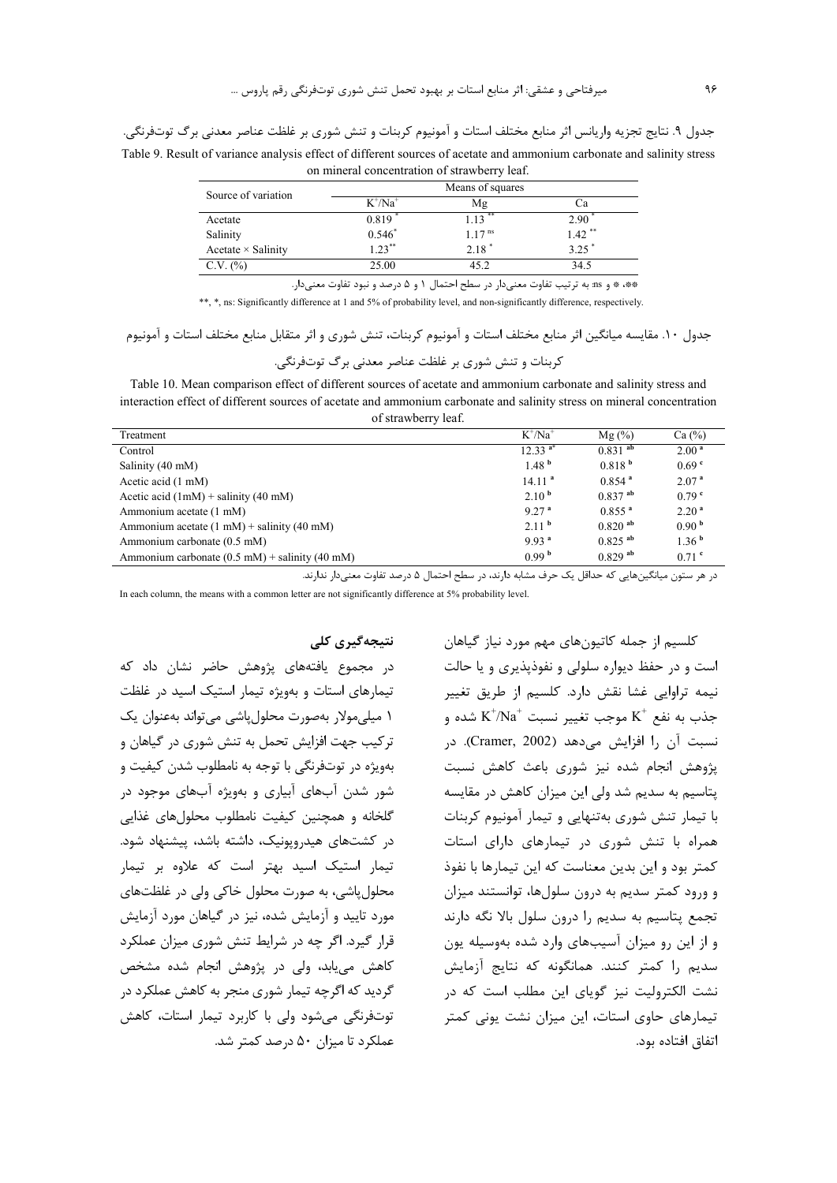جدول ۹. نتايج تجزيه واريانس اثر منابع مختلف استات و آمونيوم كربنات و تنش شورى بر غلظت عناصر معدنى برگ توتفرنگى. Table 9. Result of variance analysis effect of different sources of acetate and ammonium carbonate and salinity stress on mineral concentration of strawberry leaf.

| Source of variation       |            | Means of squares     |                      |
|---------------------------|------------|----------------------|----------------------|
|                           | $K^+/Na^+$ | Mg                   | Сa                   |
| Acetate                   | 0.819      | $1.13$ **            | 2.90                 |
| Salinity                  | $0.546*$   | $1.17$ <sup>ns</sup> | $1.42$ <sup>**</sup> |
| Acetate $\times$ Salinity | $1.23***$  | $2.18*$              | 3.25                 |
| C.V. (%)                  | 25.00      | 45.2                 | 34.5                 |

\*\*، \* و as: به ترتیب تفاوت معنیدار در سطح احتمال ١ و ۵ درصد و نبود تفاوت معنیدار.

\*\*, \*, ns: Significantly difference at 1 and 5% of probability level, and non-significantly difference, respectively.

جدول ١٠. مقايسه ميانگين اثر منابع مختلف استات و آمونيوم كربنات، تنش شوري و اثر متقابل منابع مختلف استات و آمونيوم

کربنات و تنش شوری بر غلظت عناصر معدنی برگ توتفرنگی.

Table 10. Mean comparison effect of different sources of acetate and ammonium carbonate and salinity stress and interaction effect of different sources of acetate and ammonium carbonate and salinity stress on mineral concentration of strawberry leaf.

|                                                                | $K^{\dagger}/Na^{\dagger}$ |                       |                   |
|----------------------------------------------------------------|----------------------------|-----------------------|-------------------|
| Treatment                                                      |                            | $Mg(\%)$              | Ca $(\%)$         |
| Control                                                        | $12.33^{a*}$               | $0.831$ <sup>ab</sup> | 2.00 <sup>a</sup> |
| Salinity (40 mM)                                               | 1.48 <sup>b</sup>          | 0.818 <sup>b</sup>    | 0.69 <sup>°</sup> |
| Acetic acid (1 mM)                                             | 14.11 <sup>a</sup>         | $0.854$ <sup>a</sup>  | 2.07 <sup>a</sup> |
| Acetic acid $(1mM)$ + salinity (40 mM)                         | 2.10 <sup>b</sup>          | $0.837$ <sup>ab</sup> | 0.79 <sup>c</sup> |
| Ammonium acetate (1 mM)                                        | 9.27 <sup>a</sup>          | $0.855$ <sup>a</sup>  | 2.20 <sup>a</sup> |
| Ammonium acetate $(1 \text{ mM})$ + salinity $(40 \text{ mM})$ | 2.11 <sup>b</sup>          | $0.820$ <sup>ab</sup> | 0.90 <sup>b</sup> |
| Ammonium carbonate (0.5 mM)                                    | 9.93 <sup>a</sup>          | $0.825$ <sup>ab</sup> | 1.36 <sup>b</sup> |
| Ammonium carbonate $(0.5 \text{ mM})$ + salinity (40 mM)       | 0.99 <sup>b</sup>          | $0.829$ <sup>ab</sup> | $0.71$ c          |

در هر ستون میانگینهایی که حداقل یک حرف مشابه دارند، در سطح احتمال ۵ درصد تفاوت معنی دار ندارند.

In each column, the means with a common letter are not significantly difference at 5% probability level.

نتىجەگىرى كلى

در مجموع یافتههای پژوهش حاضر نشان داد که تیمارهای استات و بهویژه تیمار استیک اسید در غلظت ١ ميلي،مولار بەصورت محلول ياشى مى تواند بەعنوان يک ترکیب جهت افزایش تحمل به تنش شوری در گیاهان و بهویژه در توتفرنگی با توجه به نامطلوب شدن کیفیت و شور شدن آبهای آبیاری و بهویژه آبهای موجود در گلخانه و همچنین کیفیت نامطلوب محلولهای غذایی در کشتهای هیدرویونیک، داشته باشد، پیشنهاد شود. تیمار استیک اسید بهتر است که علاوه بر تیمار محلول یاشی، به صورت محلول خاکی ولی در غلظتهای مورد تایید و آزمایش شده، نیز در گیاهان مورد آزمایش قرار گیرد. اگر چه در شرایط تنش شوری میزان عملکرد کاهش می بابد، ولی در پژوهش انجام شده مشخص گردید که اگرچه تیمار شوری منجر به کاهش عملکرد در توتفرنگی می شود ولی با کاربرد تیمار استات، کاهش عملکرد تا میزان ۵۰ درصد کمتر شد.

کلسیم از جمله کاتیونهای مهم مورد نیاز گیاهان است و در حفظ دیواره سلولی و نفوذپذیری و یا حالت نیمه تراوایی غشا نقش دارد. کلسیم از طریق تغییر ونب به نفع  $\mathrm{K}^+$  موجب تغییر نسبت  $\mathrm{K}^+$  شده و  $\mathrm{K}^+$  به نفع نسبت آن ,ا افزایش می دهد (Cramer, 2002). در پژوهش انجام شده نیز شوری باعث کاهش نسبت یتاسیم به سدیم شد ولی این میزان کاهش در مقایسه با تیمار تنش شوری بهتنهایی و تیمار آمونیوم کربنات همراه با تنش شوری در تیمارهای دارای استات کمتر بود و این بدین معناست که این تیمارها با نفوذ و ورود کمتر سدیم به درون سلولها، توانستند میزان تجمع يتاسيم به سديم را درون سلول بالا نگه دارند و از این رو میزان آسیبهای وارد شده بهوسیله یون سدیم را کمتر کنند. همانگونه که نتایج آزمایش نشت الکترولیت نیز گویای این مطلب است که در تیمارهای حاوی استات، این میزان نشت یونی کمتر اتفاق افتاده بود.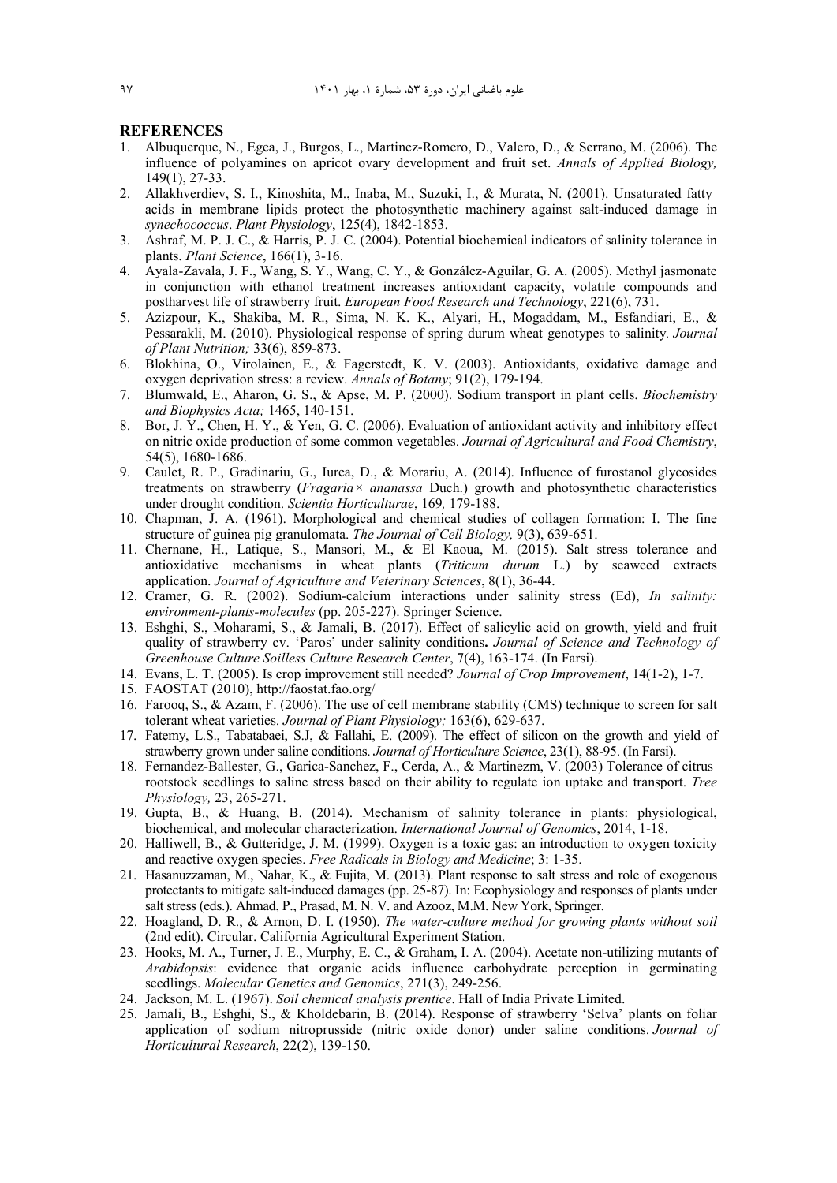#### **REFERENCES**

- 1. Albuquerque, N., Egea, J., Burgos, L., Martinez‐Romero, D., Valero, D., & Serrano, M. (2006). The influence of polyamines on apricot ovary development and fruit set. *Annals of Applied Biology,*  149(1), 27-33.
- 2. Allakhverdiev, S. I., Kinoshita, M., Inaba, M., Suzuki, I., & Murata, N. (2001). Unsaturated fatty acids in membrane lipids protect the photosynthetic machinery against salt-induced damage in *synechococcus*. *Plant Physiology*, 125(4), 1842-1853.
- 3. Ashraf, M. P. J. C., & Harris, P. J. C. (2004). Potential biochemical indicators of salinity tolerance in plants. *Plant Science*, 166(1), 3-16.
- 4. Ayala-Zavala, J. F., Wang, S. Y., Wang, C. Y., & González-Aguilar, G. A. (2005). Methyl jasmonate in conjunction with ethanol treatment increases antioxidant capacity, volatile compounds and postharvest life of strawberry fruit. *European Food Research and Technology*, 221(6), 731.
- 5. Azizpour, K., Shakiba, M. R., Sima, N. K. K., Alyari, H., Mogaddam, M., Esfandiari, E., & Pessarakli, M. (2010). Physiological response of spring durum wheat genotypes to salinity*. Journal of Plant Nutrition;* 33(6), 859-873.
- 6. Blokhina, O., Virolainen, E., & Fagerstedt, K. V. (2003). Antioxidants, oxidative damage and oxygen deprivation stress: a review. *Annals of Botany*; 91(2), 179-194.
- 7. Blumwald, E., Aharon, G. S., & Apse, M. P. (2000). Sodium transport in plant cells. *Biochemistry and Biophysics Acta;* 1465, 140-151.
- 8. Bor, J. Y., Chen, H. Y., & Yen, G. C. (2006). Evaluation of antioxidant activity and inhibitory effect on nitric oxide production of some common vegetables. *Journal of Agricultural and Food Chemistry*, 54(5), 1680-1686.
- 9. Caulet, R. P., Gradinariu, G., Iurea, D., & Morariu, A. (2014). Influence of furostanol glycosides treatments on strawberry (*Fragaria× ananassa* Duch.) growth and photosynthetic characteristics under drought condition. *Scientia Horticulturae*, 169*,* 179-188.
- 10. Chapman, J. A. (1961). Morphological and chemical studies of collagen formation: I. The fine structure of guinea pig granulomata. *The Journal of Cell Biology,* 9(3), 639-651.
- 11. Chernane, H., Latique, S., Mansori, M., & El Kaoua, M. (2015). Salt stress tolerance and antioxidative mechanisms in wheat plants (*Triticum durum* L.) by seaweed extracts application. *Journal of Agriculture and Veterinary Sciences*, 8(1), 36-44.
- 12. Cramer, G. R. (2002). Sodium-calcium interactions under salinity stress (Ed), *In salinity: environment-plants-molecules* (pp. 205-227). Springer Science.
- 13. Eshghi, S., Moharami, S., & Jamali, B. (2017). Effect of salicylic acid on growth, yield and fruit quality of strawberry cv. 'Paros' under salinity conditions**.** *Journal of Science and Technology of Greenhouse Culture Soilless Culture Research Center*, 7(4), 163-174. (In Farsi).
- 14. Evans, L. T. (2005). Is crop improvement still needed? *Journal of Crop Improvement*, 14(1-2), 1-7.
- 15. FAOSTAT (2010), http://faostat.fao.org/
- 16. Farooq, S., & Azam, F. (2006). The use of cell membrane stability (CMS) technique to screen for salt tolerant wheat varieties. *Journal of Plant Physiology;* 163(6), 629-637.
- 17. Fatemy, L.S., Tabatabaei, S.J, & Fallahi, E. (2009). The effect of silicon on the growth and yield of strawberry grown under saline conditions. *Journal of Horticulture Science*, 23(1), 88-95. (In Farsi).
- 18. Fernandez-Ballester, G., Garica-Sanchez, F., Cerda, A., & Martinezm, V. (2003) Tolerance of citrus rootstock seedlings to saline stress based on their ability to regulate ion uptake and transport. *Tree Physiology,* 23, 265-271.
- 19. Gupta, B., & Huang, B. (2014). Mechanism of salinity tolerance in plants: physiological, biochemical, and molecular characterization. *International Journal of Genomics*, 2014, 1-18.
- 20. Halliwell, B., & Gutteridge, J. M. (1999). Oxygen is a toxic gas: an introduction to oxygen toxicity and reactive oxygen species. *Free Radicals in Biology and Medicine*; 3: 1-35.
- 21. Hasanuzzaman, M., Nahar, K., & Fujita, M. (2013). Plant response to salt stress and role of exogenous protectants to mitigate salt-induced damages (pp. 25-87). In: Ecophysiology and responses of plants under salt stress (eds.). Ahmad, P., Prasad, M. N. V. and Azooz, M.M. New York, Springer.
- 22. Hoagland, D. R., & Arnon, D. I. (1950). *The water-culture method for growing plants without soil*  (2nd edit). Circular. California Agricultural Experiment Station.
- 23. Hooks, M. A., Turner, J. E., Murphy, E. C., & Graham, I. A. (2004). Acetate non-utilizing mutants of *Arabidopsis*: evidence that organic acids influence carbohydrate perception in germinating seedlings. *Molecular Genetics and Genomics*, 271(3), 249-256.
- 24. Jackson, M. L. (1967). *Soil chemical analysis prentice*. Hall of India Private Limited.
- 25. Jamali, B., Eshghi, S., & Kholdebarin, B. (2014). Response of strawberry 'Selva' plants on foliar application of sodium nitroprusside (nitric oxide donor) under saline conditions. *Journal of Horticultural Research*, 22(2), 139-150.